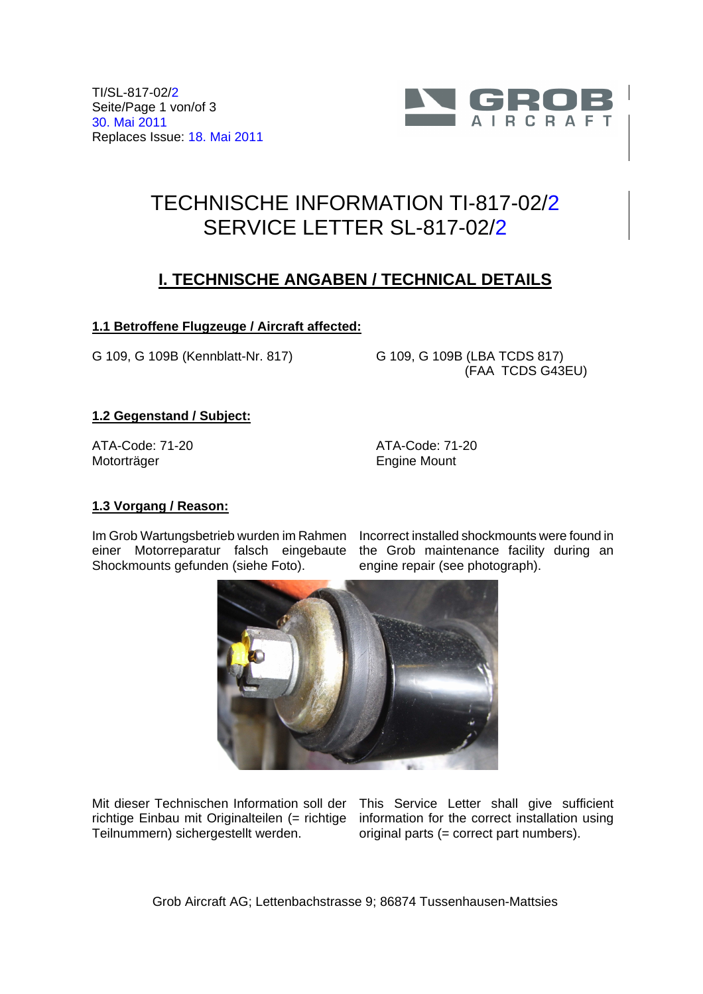TI/SL-817-02/2 Seite/Page 1 von/of 3 30. Mai 2011 Replaces Issue: 18. Mai 2011



# TECHNISCHE INFORMATION TI-817-02/2 SERVICE LETTER SL-817-02/2

## **I. TECHNISCHE ANGABEN / TECHNICAL DETAILS**

### **1.1 Betroffene Flugzeuge / Aircraft affected:**

G 109, G 109B (Kennblatt-Nr. 817) G 109, G 109B (LBA TCDS 817)

(FAA TCDS G43EU)

#### **1.2 Gegenstand / Subject:**

ATA-Code: 71-20 Motorträger

ATA-Code: 71-20 Engine Mount

#### **1.3 Vorgang / Reason:**

Im Grob Wartungsbetrieb wurden im Rahmen einer Motorreparatur falsch eingebaute Shockmounts gefunden (siehe Foto).

Incorrect installed shockmounts were found in the Grob maintenance facility during an engine repair (see photograph).



Teilnummern) sichergestellt werden.

Mit dieser Technischen Information soll der This Service Letter shall give sufficient richtige Einbau mit Originalteilen (= richtige information for the correct installation using original parts (= correct part numbers).

Grob Aircraft AG; Lettenbachstrasse 9; 86874 Tussenhausen-Mattsies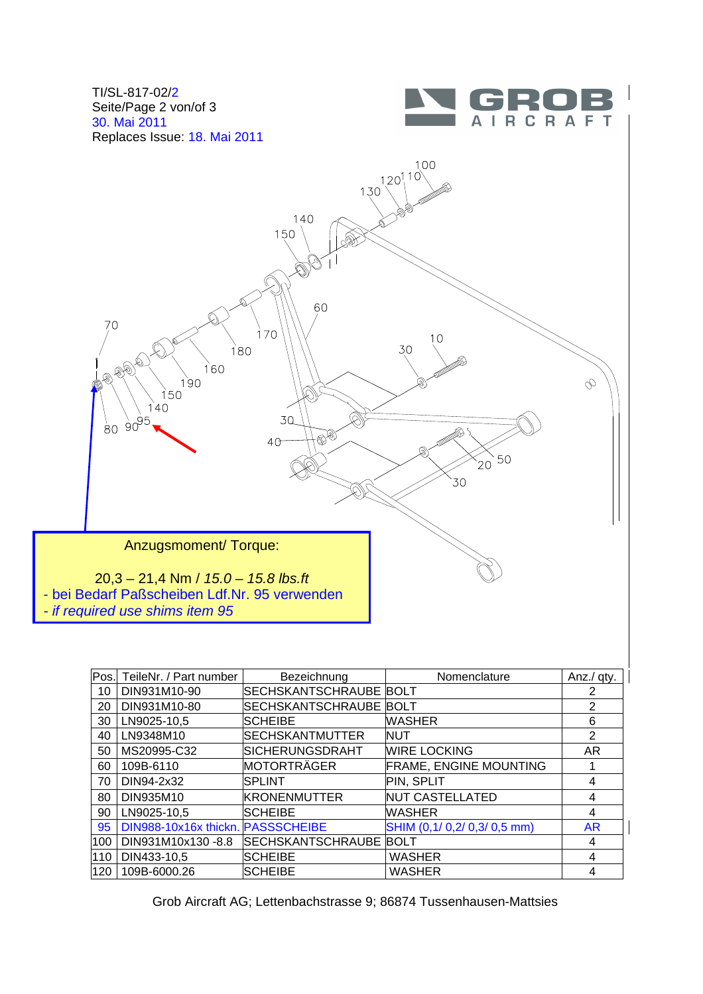





| Pos. | TeileNr. / Part number            | Bezeichnung              | Nomenclature                  | Anz./ qty.     |
|------|-----------------------------------|--------------------------|-------------------------------|----------------|
| 10   | DIN931M10-90                      | SECHSKANTSCHRAUBE BOLT   |                               | 2              |
| 20   | DIN931M10-80                      | SECHSKANTSCHRAUBE BOLT   |                               | $\mathfrak{p}$ |
| 30   | LN9025-10,5                       | <b>SCHEIBE</b>           | <b>WASHER</b>                 | 6              |
| 40   | LN9348M10                         | SECHSKANTMUTTER          | <b>NUT</b>                    | 2              |
| 50   | MS20995-C32                       | SICHERUNGSDRAHT          | <b>WIRE LOCKING</b>           | AR             |
| 60   | 109B-6110                         | MOTORTRÄGER              | <b>FRAME, ENGINE MOUNTING</b> |                |
| 70   | DIN94-2x32                        | <b>SPLINT</b>            | PIN, SPLIT                    | 4              |
| 80   | DIN935M10                         | <b>KRONENMUTTER</b>      | <b>NUT CASTELLATED</b>        | 4              |
| 90   | LN9025-10.5                       | <b>SCHEIBE</b>           | <b>WASHER</b>                 | 4              |
| 95   | DIN988-10x16x thickn. PASSSCHEIBE |                          | SHIM (0,1/ 0,2/ 0,3/ 0,5 mm)  | <b>AR</b>      |
| 100  | DIN931M10x130-8.8                 | <b>SECHSKANTSCHRAUBE</b> | <b>BOLT</b>                   | 4              |
| 110  | DIN433-10,5                       | <b>SCHEIBE</b>           | <b>WASHER</b>                 | 4              |
| 120  | 109B-6000.26                      | <b>SCHEIBE</b>           | <b>WASHER</b>                 | 4              |

Grob Aircraft AG; Lettenbachstrasse 9; 86874 Tussenhausen-Mattsies